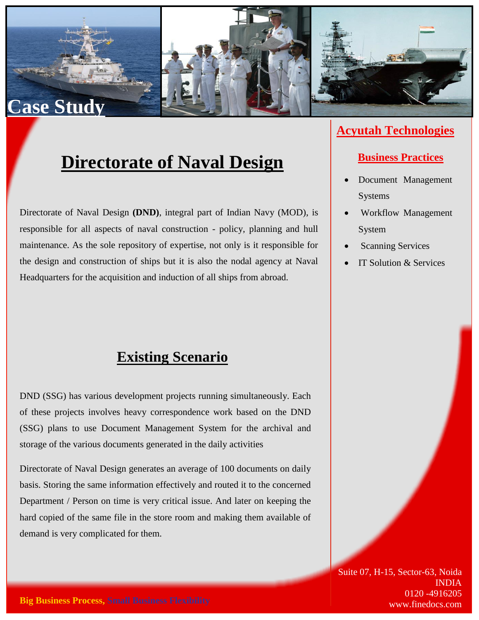

## **Directorate of Naval Design**

Directorate of Naval Design **(DND)**, integral part of Indian Navy (MOD), is responsible for all aspects of naval construction - policy, planning and hull maintenance. As the sole repository of expertise, not only is it responsible for the design and construction of ships but it is also the nodal agency at Naval Headquarters for the acquisition and induction of all ships from abroad.

### **Existing Scenario**

DND (SSG) has various development projects running simultaneously. Each of these projects involves heavy correspondence work based on the DND (SSG) plans to use Document Management System for the archival and storage of the various documents generated in the daily activities

Directorate of Naval Design generates an average of 100 documents on daily basis. Storing the same information effectively and routed it to the concerned Department / Person on time is very critical issue. And later on keeping the hard copied of the same file in the store room and making them available of demand is very complicated for them.

### **Acyutah Technologies**

#### **Business Practices**

- Document Management Systems
- Workflow Management System
- Scanning Services
- IT Solution & Services

Suite 07, H-15, Sector-63, Noida INDIA 0120 -4916205 www.finedocs.com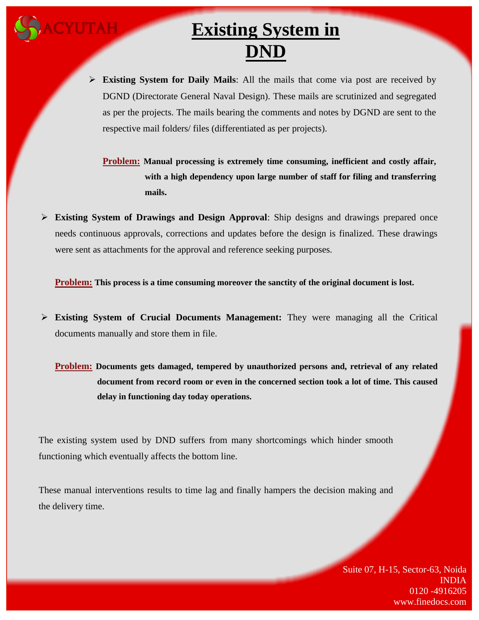# **Existing System in DND**

 **Existing System for Daily Mails**: All the mails that come via post are received by DGND (Directorate General Naval Design). These mails are scrutinized and segregated as per the projects. The mails bearing the comments and notes by DGND are sent to the respective mail folders/ files (differentiated as per projects).

**Problem: Manual processing is extremely time consuming, inefficient and costly affair, with a high dependency upon large number of staff for filing and transferring mails.**

 **Existing System of Drawings and Design Approval**: Ship designs and drawings prepared once needs continuous approvals, corrections and updates before the design is finalized. These drawings were sent as attachments for the approval and reference seeking purposes.

**Problem: This process is a time consuming moreover the sanctity of the original document is lost.**

 **Existing System of Crucial Documents Management:** They were managing all the Critical documents manually and store them in file.

**Problem: Documents gets damaged, tempered by unauthorized persons and, retrieval of any related document from record room or even in the concerned section took a lot of time. This caused delay in functioning day today operations.**

The existing system used by DND suffers from many shortcomings which hinder smooth functioning which eventually affects the bottom line.

These manual interventions results to time lag and finally hampers the decision making and the delivery time.

> Suite 07, H-15, Sector-63, Noida INDIA 0120 -4916205 www.finedocs.com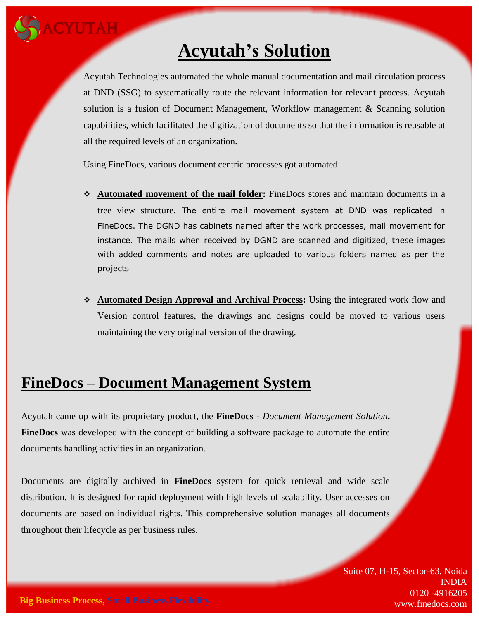

## **Acyutah's Solution**

Acyutah Technologies automated the whole manual documentation and mail circulation process at DND (SSG) to systematically route the relevant information for relevant process. Acyutah solution is a fusion of Document Management, Workflow management & Scanning solution capabilities, which facilitated the digitization of documents so that the information is reusable at all the required levels of an organization.

Using FineDocs, various document centric processes got automated.

- **Automated movement of the mail folder:** FineDocs stores and maintain documents in a tree view structure. The entire mail movement system at DND was replicated in FineDocs. The DGND has cabinets named after the work processes, mail movement for instance. The mails when received by DGND are scanned and digitized, these images with added comments and notes are uploaded to various folders named as per the projects
- **Automated Design Approval and Archival Process:** Using the integrated work flow and Version control features, the drawings and designs could be moved to various users maintaining the very original version of the drawing.

### **FineDocs – Document Management System**

Acyutah came up with its proprietary product, the **FineDocs** *- Document Management Solution***. FineDocs** was developed with the concept of building a software package to automate the entire documents handling activities in an organization.

Documents are digitally archived in **FineDocs** system for quick retrieval and wide scale distribution. It is designed for rapid deployment with high levels of scalability. User accesses on documents are based on individual rights. This comprehensive solution manages all documents throughout their lifecycle as per business rules.

> Suite 07, H-15, Sector-63, Noida INDIA 0120 -4916205 www.finedocs.com

**Big Business Process, Small Business Flexibility**